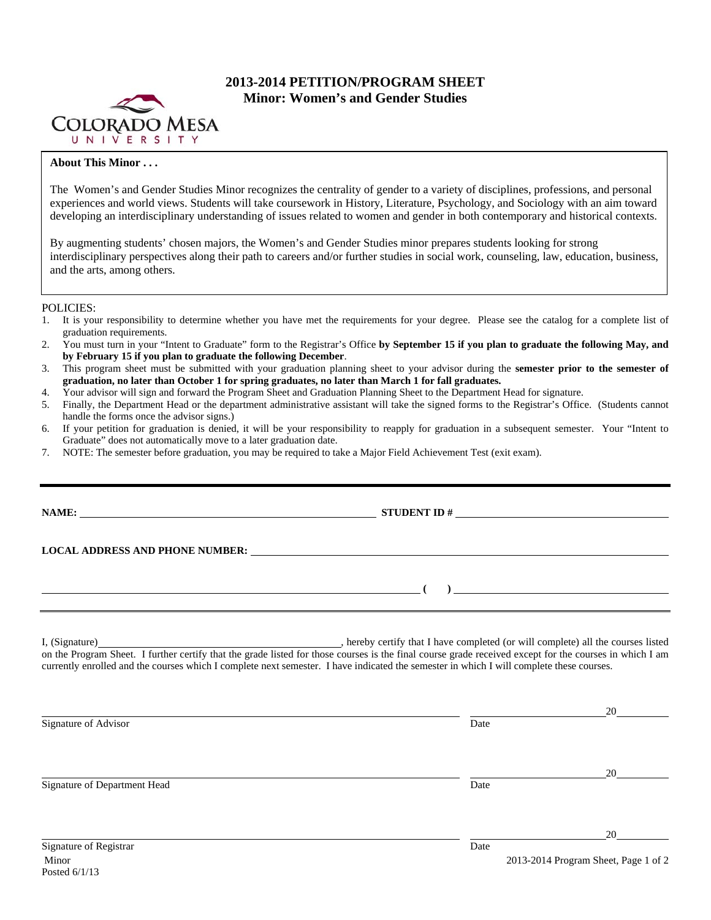

# **2013-2014 PETITION/PROGRAM SHEET Minor: Women's and Gender Studies**

## **About This Minor . . .**

The Women's and Gender Studies Minor recognizes the centrality of gender to a variety of disciplines, professions, and personal experiences and world views. Students will take coursework in History, Literature, Psychology, and Sociology with an aim toward developing an interdisciplinary understanding of issues related to women and gender in both contemporary and historical contexts.

By augmenting students' chosen majors, the Women's and Gender Studies minor prepares students looking for strong interdisciplinary perspectives along their path to careers and/or further studies in social work, counseling, law, education, business, and the arts, among others.

### POLICIES:

- 1. It is your responsibility to determine whether you have met the requirements for your degree. Please see the catalog for a complete list of graduation requirements.
- 2. You must turn in your "Intent to Graduate" form to the Registrar's Office **by September 15 if you plan to graduate the following May, and by February 15 if you plan to graduate the following December**.
- 3. This program sheet must be submitted with your graduation planning sheet to your advisor during the **semester prior to the semester of graduation, no later than October 1 for spring graduates, no later than March 1 for fall graduates.**
- 4. Your advisor will sign and forward the Program Sheet and Graduation Planning Sheet to the Department Head for signature.
- 5. Finally, the Department Head or the department administrative assistant will take the signed forms to the Registrar's Office. (Students cannot handle the forms once the advisor signs.)
- 6. If your petition for graduation is denied, it will be your responsibility to reapply for graduation in a subsequent semester. Your "Intent to Graduate" does not automatically move to a later graduation date.
- 7. NOTE: The semester before graduation, you may be required to take a Major Field Achievement Test (exit exam).

| NAME: NAME:                                                   | STUDENT ID $\#$                                                                                                                                                                                                                                                                                     |                                            |
|---------------------------------------------------------------|-----------------------------------------------------------------------------------------------------------------------------------------------------------------------------------------------------------------------------------------------------------------------------------------------------|--------------------------------------------|
|                                                               |                                                                                                                                                                                                                                                                                                     |                                            |
| <u> 1989 - Andrea Andrewski, amerikansk politik (d. 1989)</u> |                                                                                                                                                                                                                                                                                                     |                                            |
|                                                               | on the Program Sheet. I further certify that the grade listed for those courses is the final course grade received except for the courses in which I am<br>currently enrolled and the courses which I complete next semester. I have indicated the semester in which I will complete these courses. |                                            |
| Signature of Advisor                                          | Date                                                                                                                                                                                                                                                                                                |                                            |
| Signature of Department Head                                  | Date                                                                                                                                                                                                                                                                                                | 20                                         |
| Signature of Registrar<br>Minor                               | Date                                                                                                                                                                                                                                                                                                | 20<br>2013-2014 Program Sheet, Page 1 of 2 |
| Posted $6/1/13$                                               |                                                                                                                                                                                                                                                                                                     |                                            |